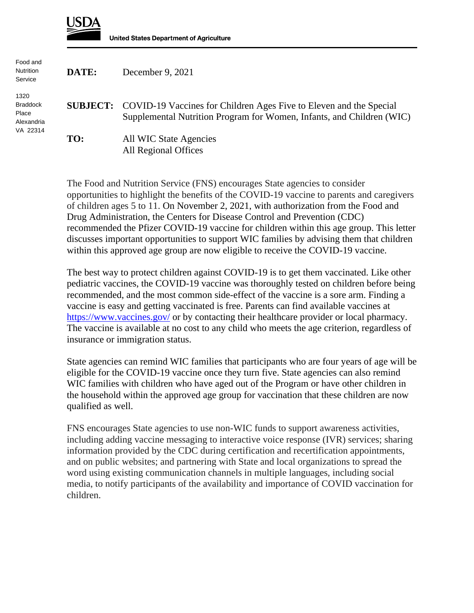

**United States Department of Agriculture** 

| Food and<br>Nutrition<br>Service                           | DATE: | December 9, 2021                                                                                                                                            |
|------------------------------------------------------------|-------|-------------------------------------------------------------------------------------------------------------------------------------------------------------|
| 1320<br><b>Braddock</b><br>Place<br>Alexandria<br>VA 22314 |       | <b>SUBJECT:</b> COVID-19 Vaccines for Children Ages Five to Eleven and the Special<br>Supplemental Nutrition Program for Women, Infants, and Children (WIC) |
|                                                            | TO:   | All WIC State Agencies<br>All Regional Offices                                                                                                              |

The Food and Nutrition Service (FNS) encourages State agencies to consider opportunities to highlight the benefits of the COVID-19 vaccine to parents and caregivers of children ages 5 to 11. On November 2, 2021, with authorization from the Food and Drug Administration, the Centers for Disease Control and Prevention (CDC) recommended the Pfizer COVID-19 vaccine for children within this age group. This letter discusses important opportunities to support WIC families by advising them that children within this approved age group are now eligible to receive the COVID-19 vaccine.

The best way to protect children against COVID-19 is to get them vaccinated. Like other pediatric vaccines, the COVID-19 vaccine was thoroughly tested on children before being recommended, and the most common side-effect of the vaccine is a sore arm. Finding a vaccine is easy and getting vaccinated is free. Parents can find available vaccines at <https://www.vaccines.gov/> or by contacting their healthcare provider or local pharmacy. The vaccine is available at no cost to any child who meets the age criterion, regardless of insurance or immigration status.

State agencies can remind WIC families that participants who are four years of age will be eligible for the COVID-19 vaccine once they turn five. State agencies can also remind WIC families with children who have aged out of the Program or have other children in the household within the approved age group for vaccination that these children are now qualified as well.

FNS encourages State agencies to use non-WIC funds to support awareness activities, including adding vaccine messaging to interactive voice response (IVR) services; sharing information provided by the CDC during certification and recertification appointments, and on public websites; and partnering with State and local organizations to spread the word using existing communication channels in multiple languages, including social media, to notify participants of the availability and importance of COVID vaccination for children.